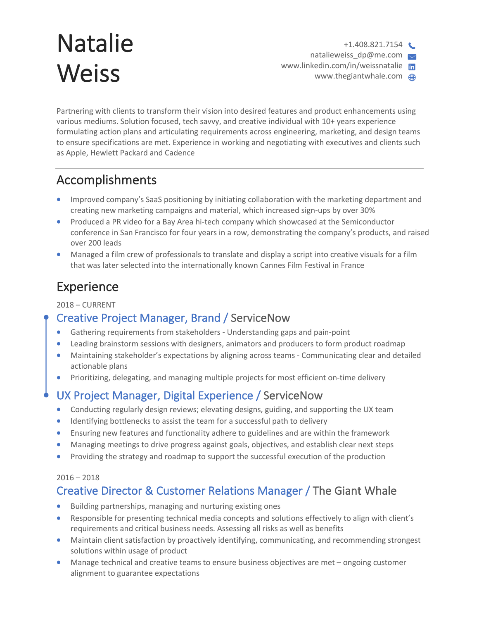# Natalie **Weiss**

 $+1.408.821.7154$ natalieweiss\_dp@me.com www.linkedin.com/in/weissnatalie www.thegiantwhale.com @

Partnering with clients to transform their vision into desired features and product enhancements using various mediums. Solution focused, tech savvy, and creative individual with 10+ years experience formulating action plans and articulating requirements across engineering, marketing, and design teams to ensure specifications are met. Experience in working and negotiating with executives and clients such as Apple, Hewlett Packard and Cadence

## Accomplishments

- Improved company's SaaS positioning by initiating collaboration with the marketing department and creating new marketing campaigns and material, which increased sign-ups by over 30%
- Produced a PR video for a Bay Area hi-tech company which showcased at the Semiconductor conference in San Francisco for four years in a row, demonstrating the company's products, and raised over 200 leads
- Managed a film crew of professionals to translate and display a script into creative visuals for a film that was later selected into the internationally known Cannes Film Festival in France

# Experience

2018 – CURRENT

## Creative Project Manager, Brand / ServiceNow

- Gathering requirements from stakeholders Understanding gaps and pain-point
- Leading brainstorm sessions with designers, animators and producers to form product roadmap
- Maintaining stakeholder's expectations by aligning across teams Communicating clear and detailed actionable plans
- Prioritizing, delegating, and managing multiple projects for most efficient on-time delivery

## UX Project Manager, Digital Experience / ServiceNow

- Conducting regularly design reviews; elevating designs, guiding, and supporting the UX team
- Identifying bottlenecks to assist the team for a successful path to delivery
- Ensuring new features and functionality adhere to guidelines and are within the framework
- Managing meetings to drive progress against goals, objectives, and establish clear next steps
- Providing the strategy and roadmap to support the successful execution of the production

#### $2016 - 2018$

## Creative Director & Customer Relations Manager / The Giant Whale

- Building partnerships, managing and nurturing existing ones
- Responsible for presenting technical media concepts and solutions effectively to align with client's requirements and critical business needs. Assessing all risks as well as benefits
- Maintain client satisfaction by proactively identifying, communicating, and recommending strongest solutions within usage of product
- Manage technical and creative teams to ensure business objectives are met ongoing customer alignment to guarantee expectations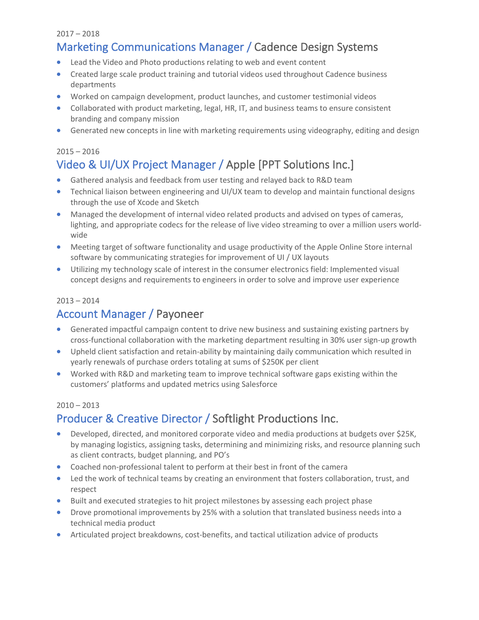#### 2017 – 2018

## Marketing Communications Manager / Cadence Design Systems

- Lead the Video and Photo productions relating to web and event content
- Created large scale product training and tutorial videos used throughout Cadence business departments
- Worked on campaign development, product launches, and customer testimonial videos
- Collaborated with product marketing, legal, HR, IT, and business teams to ensure consistent branding and company mission
- Generated new concepts in line with marketing requirements using videography, editing and design

#### $2015 - 2016$

## Video & UI/UX Project Manager / Apple [PPT Solutions Inc.]

- Gathered analysis and feedback from user testing and relayed back to R&D team
- Technical liaison between engineering and UI/UX team to develop and maintain functional designs through the use of Xcode and Sketch
- Managed the development of internal video related products and advised on types of cameras, lighting, and appropriate codecs for the release of live video streaming to over a million users worldwide
- Meeting target of software functionality and usage productivity of the Apple Online Store internal software by communicating strategies for improvement of UI / UX layouts
- Utilizing my technology scale of interest in the consumer electronics field: Implemented visual concept designs and requirements to engineers in order to solve and improve user experience

#### $2013 - 2014$

## Account Manager / Payoneer

- Generated impactful campaign content to drive new business and sustaining existing partners by cross-functional collaboration with the marketing department resulting in 30% user sign-up growth
- Upheld client satisfaction and retain-ability by maintaining daily communication which resulted in yearly renewals of purchase orders totaling at sums of \$250K per client
- Worked with R&D and marketing team to improve technical software gaps existing within the customers' platforms and updated metrics using Salesforce

#### $2010 - 2013$

## Producer & Creative Director / Softlight Productions Inc.

- Developed, directed, and monitored corporate video and media productions at budgets over \$25K, by managing logistics, assigning tasks, determining and minimizing risks, and resource planning such as client contracts, budget planning, and PO's
- Coached non-professional talent to perform at their best in front of the camera
- Led the work of technical teams by creating an environment that fosters collaboration, trust, and respect
- Built and executed strategies to hit project milestones by assessing each project phase
- Drove promotional improvements by 25% with a solution that translated business needs into a technical media product
- Articulated project breakdowns, cost-benefits, and tactical utilization advice of products